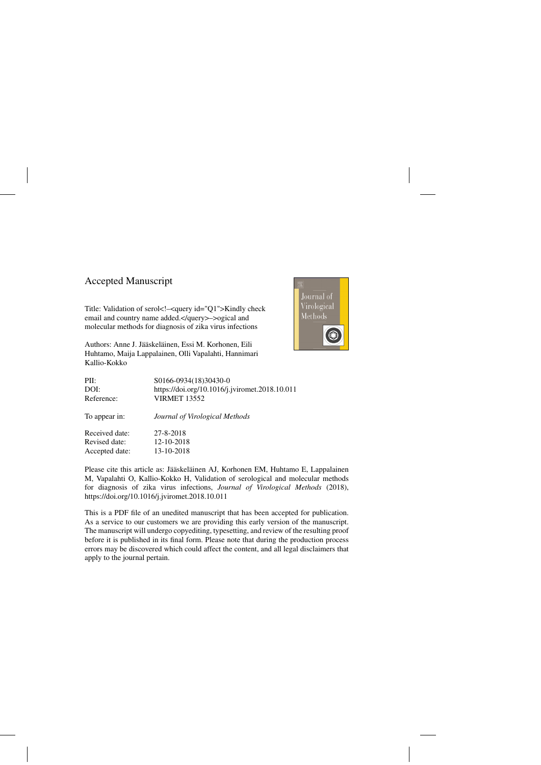# Accepted Manuscript

Title: Validation of serol<!–<query id="Q1">Kindly check email and country name added.</query>–>ogical and molecular methods for diagnosis of zika virus infections

Authors: Anne J. Jääskeläinen, Essi M. Korhonen, Eili Huhtamo, Maija Lappalainen, Olli Vapalahti, Hannimari Kallio-Kokko



| PII:           | S0166-0934(18)30430-0                          |
|----------------|------------------------------------------------|
| DOI:           | https://doi.org/10.1016/j.jviromet.2018.10.011 |
| Reference:     | <b>VIRMET 13552</b>                            |
| To appear in:  | Journal of Virological Methods                 |
| Received date: | 27-8-2018                                      |
| Revised date:  | 12-10-2018                                     |
| Accepted date: | 13-10-2018                                     |

Please cite this article as: Jääskeläinen AJ, Korhonen EM, Huhtamo E, Lappalainen M, Vapalahti O, Kallio-Kokko H, Validation of serological and molecular methods for diagnosis of zika virus infections, *Journal of Virological Methods* (2018), <https://doi.org/10.1016/j.jviromet.2018.10.011>

This is a PDF file of an unedited manuscript that has been accepted for publication. As a service to our customers we are providing this early version of the manuscript. The manuscript will undergo copyediting, typesetting, and review of the resulting proof before it is published in its final form. Please note that during the production process errors may be discovered which could affect the content, and all legal disclaimers that apply to the journal pertain.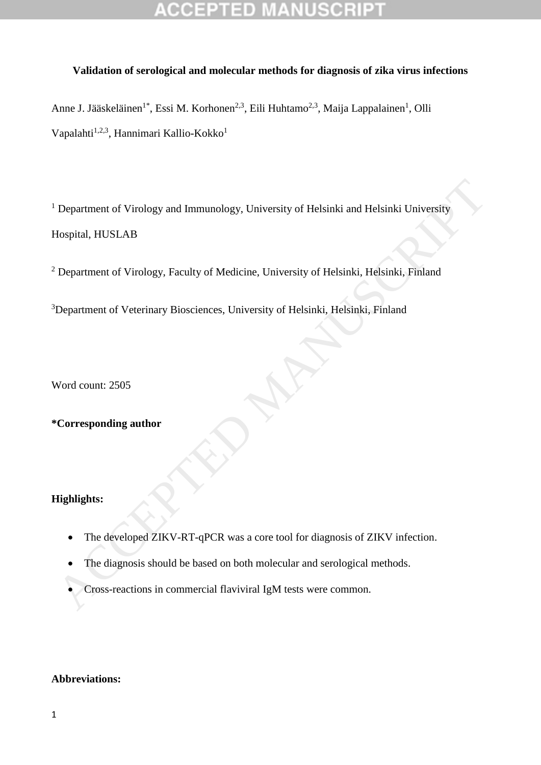# **Validation of serological and molecular methods for diagnosis of zika virus infections**

Anne J. Jääskeläinen<sup>1\*</sup>, Essi M. Korhonen<sup>2,3</sup>, Eili Huhtamo<sup>2,3</sup>, Maija Lappalainen<sup>1</sup>, Olli Vapalahti<sup>1,2,3</sup>, Hannimari Kallio-Kokko<sup>1</sup>

<sup>1</sup> Department of Virology and Immunology, University of Helsinki and Helsinki University Hospital, HUSLAB Department of Virology and Immunology. University of Helsinki and Helsinki University<br>
10 department of Virology, Faculty of Medicine, University of Helsinki, Helsinki, Finland<br>
10 Department of Veterinary Biosciences. Uni

<sup>2</sup> Department of Virology, Faculty of Medicine, University of Helsinki, Helsinki, Finland

<sup>3</sup>Department of Veterinary Biosciences, University of Helsinki, Helsinki, Finland

Word count: 2505

# **\*Corresponding author**

# **Highlights:**

- The developed ZIKV-RT-qPCR was a core tool for diagnosis of ZIKV infection.
- The diagnosis should be based on both molecular and serological methods.
- Cross-reactions in commercial flaviviral IgM tests were common.

### **Abbreviations:**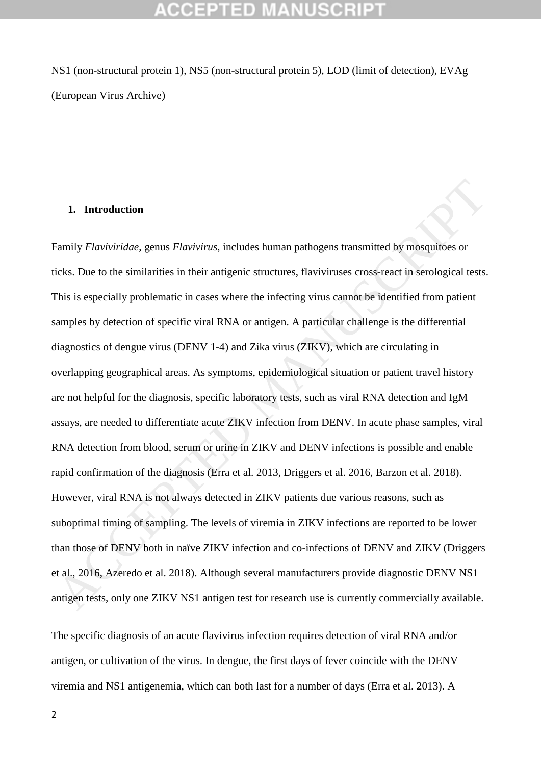NS1 (non-structural protein 1), NS5 (non-structural protein 5), LOD (limit of detection), EVAg (European Virus Archive)

# **1. Introduction**

Family *Flaviviridae*, genus *Flavivirus*, includes human pathogens transmitted by mosquitoes or ticks. Due to the similarities in their antigenic structures, flaviviruses cross-react in serological tests. This is especially problematic in cases where the infecting virus cannot be identified from patient samples by detection of specific viral RNA or antigen. A particular challenge is the differential diagnostics of dengue virus (DENV 1-4) and Zika virus (ZIKV), which are circulating in overlapping geographical areas. As symptoms, epidemiological situation or patient travel history are not helpful for the diagnosis, specific laboratory tests, such as viral RNA detection and IgM assays, are needed to differentiate acute ZIKV infection from DENV. In acute phase samples, viral RNA detection from blood, serum or urine in ZIKV and DENV infections is possible and enable rapid confirmation of the diagnosis (Erra et al. 2013, Driggers et al. 2016, Barzon et al. 2018). However, viral RNA is not always detected in ZIKV patients due various reasons, such as suboptimal timing of sampling. The levels of viremia in ZIKV infections are reported to be lower than those of DENV both in naïve ZIKV infection and co-infections of DENV and ZIKV (Driggers et al., 2016, Azeredo et al. 2018). Although several manufacturers provide diagnostic DENV NS1 antigen tests, only one ZIKV NS1 antigen test for research use is currently commercially available. 1. Introduction<br>
1. Introduction<br>
1. Introduction<br>
1. Introduction genus *Flavivirus*, includes human pathogens transmitted by mosquitoes or<br>
1. This is especially problematic in their antigenic structures, flaviviruses cr

The specific diagnosis of an acute flavivirus infection requires detection of viral RNA and/or antigen, or cultivation of the virus. In dengue, the first days of fever coincide with the DENV viremia and NS1 antigenemia, which can both last for a number of days (Erra et al. 2013). A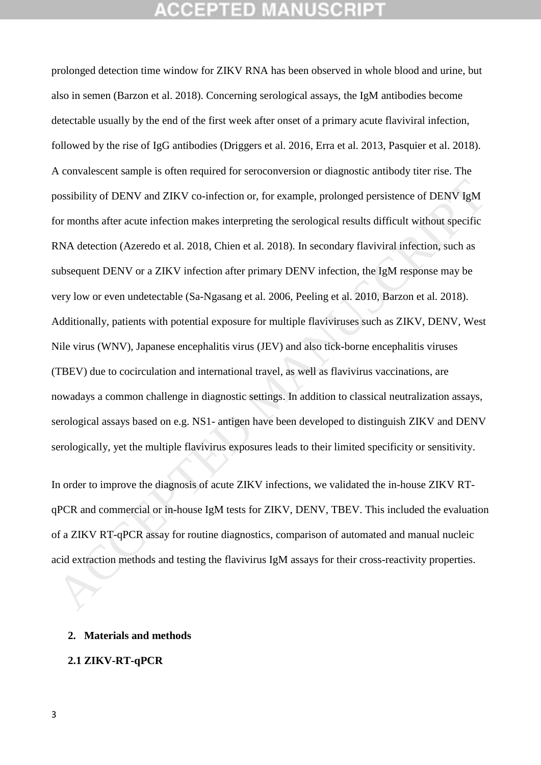prolonged detection time window for ZIKV RNA has been observed in whole blood and urine, but also in semen (Barzon et al. 2018). Concerning serological assays, the IgM antibodies become detectable usually by the end of the first week after onset of a primary acute flaviviral infection, followed by the rise of IgG antibodies (Driggers et al. 2016, Erra et al. 2013, Pasquier et al. 2018). A convalescent sample is often required for seroconversion or diagnostic antibody titer rise. The possibility of DENV and ZIKV co-infection or, for example, prolonged persistence of DENV IgM for months after acute infection makes interpreting the serological results difficult without specific RNA detection (Azeredo et al. 2018, Chien et al. 2018). In secondary flaviviral infection, such as subsequent DENV or a ZIKV infection after primary DENV infection, the IgM response may be very low or even undetectable (Sa-Ngasang et al. 2006, Peeling et al. 2010, Barzon et al. 2018). Additionally, patients with potential exposure for multiple flaviviruses such as ZIKV, DENV, West Nile virus (WNV), Japanese encephalitis virus (JEV) and also tick-borne encephalitis viruses (TBEV) due to cocirculation and international travel, as well as flavivirus vaccinations, are nowadays a common challenge in diagnostic settings. In addition to classical neutralization assays, serological assays based on e.g. NS1- antigen have been developed to distinguish ZIKV and DENV serologically, yet the multiple flavivirus exposures leads to their limited specificity or sensitivity. bossibility of DENV and ZIKV co-infection or, for example, prolonged persistence of DENV IgM<br>for months after acute infection makes interpreting the serological results difficult without specific<br>RNA detection (Azeredo et

In order to improve the diagnosis of acute ZIKV infections, we validated the in-house ZIKV RTqPCR and commercial or in-house IgM tests for ZIKV, DENV, TBEV. This included the evaluation of a ZIKV RT-qPCR assay for routine diagnostics, comparison of automated and manual nucleic acid extraction methods and testing the flavivirus IgM assays for their cross-reactivity properties.

### **2. Materials and methods**

### **2.1 ZIKV-RT-qPCR**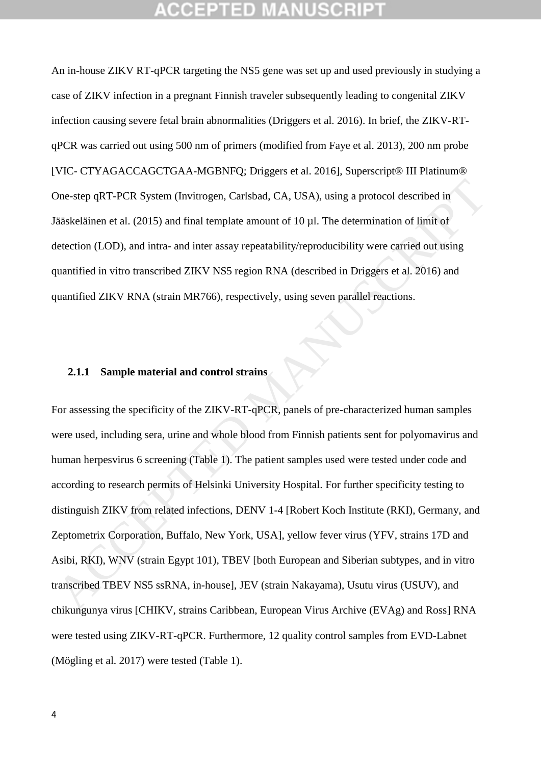An in-house ZIKV RT-qPCR targeting the NS5 gene was set up and used previously in studying a case of ZIKV infection in a pregnant Finnish traveler subsequently leading to congenital ZIKV infection causing severe fetal brain abnormalities (Driggers et al. 2016). In brief, the ZIKV-RTqPCR was carried out using 500 nm of primers (modified from Faye et al. 2013), 200 nm probe [VIC- CTYAGACCAGCTGAA-MGBNFQ; Driggers et al. 2016], Superscript® III Platinum® One-step qRT-PCR System (Invitrogen, Carlsbad, CA, USA), using a protocol described in Jääskeläinen et al. (2015) and final template amount of 10 µl. The determination of limit of detection (LOD), and intra- and inter assay repeatability/reproducibility were carried out using quantified in vitro transcribed ZIKV NS5 region RNA (described in Driggers et al. 2016) and quantified ZIKV RNA (strain MR766), respectively, using seven parallel reactions.

### **2.1.1 Sample material and control strains**

For assessing the specificity of the ZIKV-RT-qPCR, panels of pre-characterized human samples were used, including sera, urine and whole blood from Finnish patients sent for polyomavirus and human herpesvirus 6 screening (Table 1). The patient samples used were tested under code and according to research permits of Helsinki University Hospital. For further specificity testing to distinguish ZIKV from related infections, DENV 1-4 [Robert Koch Institute (RKI), Germany, and Zeptometrix Corporation, Buffalo, New York, USA], yellow fever virus (YFV, strains 17D and Asibi, RKI), WNV (strain Egypt 101), TBEV [both European and Siberian subtypes, and in vitro transcribed TBEV NS5 ssRNA, in-house], JEV (strain Nakayama), Usutu virus (USUV), and chikungunya virus [CHIKV, strains Caribbean, European Virus Archive (EVAg) and Ross] RNA were tested using ZIKV-RT-qPCR. Furthermore, 12 quality control samples from EVD-Labnet (Mögling et al. 2017) were tested (Table 1). Dne-step qRT-PCR System (Invitrogen, Carlsbad, CA, USA), using a protocol described in<br>lääskeläinen et al. (2015) and final template amount of 10 μl. The determination of limit of<br>letection (LOD), and intra- and inter ass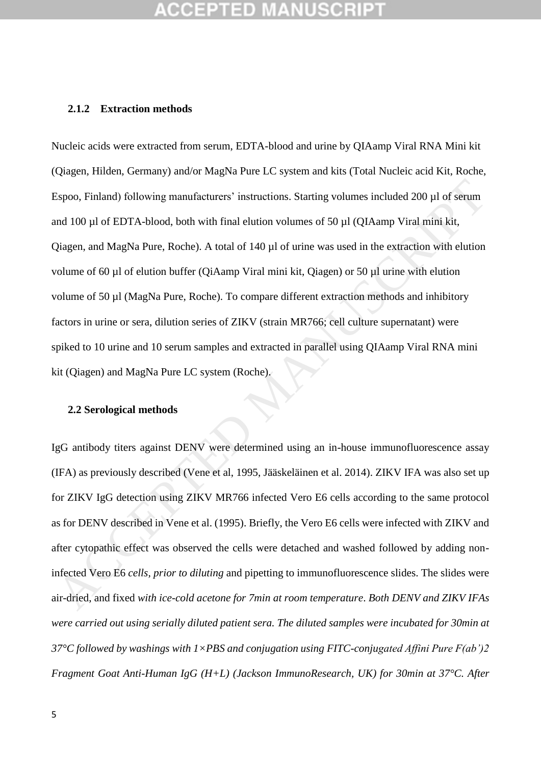### **2.1.2 Extraction methods**

Nucleic acids were extracted from serum, EDTA-blood and urine by QIAamp Viral RNA Mini kit (Qiagen, Hilden, Germany) and/or MagNa Pure LC system and kits (Total Nucleic acid Kit, Roche, Espoo, Finland) following manufacturers' instructions. Starting volumes included 200 µl of serum and 100 µl of EDTA-blood, both with final elution volumes of 50 µl (QIAamp Viral mini kit, Qiagen, and MagNa Pure, Roche). A total of 140 µl of urine was used in the extraction with elution volume of 60 µl of elution buffer (QiAamp Viral mini kit, Qiagen) or 50 µl urine with elution volume of 50 µl (MagNa Pure, Roche). To compare different extraction methods and inhibitory factors in urine or sera, dilution series of ZIKV (strain MR766; cell culture supernatant) were spiked to 10 urine and 10 serum samples and extracted in parallel using QIAamp Viral RNA mini kit (Qiagen) and MagNa Pure LC system (Roche). Espoo, Finland) following manufacturers' instructions. Sturting volumes included 200 µl of serum<br>and 100 µl of EDTA-blood, both with final elution volumes of 50 µl (QIAamp Viral mini kit,<br>Diagen, and MagNa Pure, Roche). A

### **2.2 Serological methods**

IgG antibody titers against DENV were determined using an in-house immunofluorescence assay (IFA) as previously described (Vene et al, 1995, Jääskeläinen et al. 2014). ZIKV IFA was also set up for ZIKV IgG detection using ZIKV MR766 infected Vero E6 cells according to the same protocol as for DENV described in Vene et al. (1995). Briefly, the Vero E6 cells were infected with ZIKV and after cytopathic effect was observed the cells were detached and washed followed by adding noninfected Vero E6 *cells, prior to diluting* and pipetting to immunofluorescence slides. The slides were air-dried, and fixed *with ice-cold acetone for 7min at room temperature*. *Both DENV and ZIKV IFAs were carried out using serially diluted patient sera. The diluted samples were incubated for 30min at 37°C followed by washings with 1×PBS and conjugation using FITC-conjugated Affini Pure F(ab')2 Fragment Goat Anti-Human IgG (H+L) (Jackson ImmunoResearch, UK) for 30min at 37°C. After*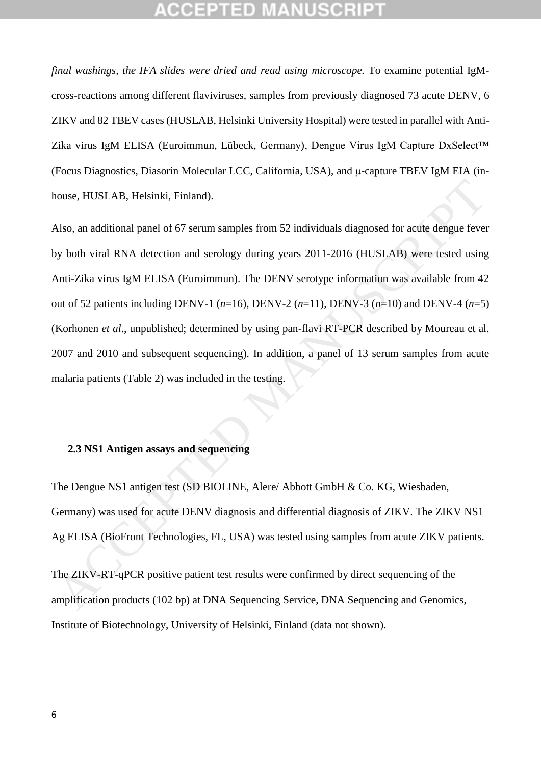*final washings, the IFA slides were dried and read using microscope.* To examine potential IgMcross-reactions among different flaviviruses, samples from previously diagnosed 73 acute DENV, 6 ZIKV and 82 TBEV cases (HUSLAB, Helsinki University Hospital) were tested in parallel with Anti-Zika virus IgM ELISA (Euroimmun, Lübeck, Germany), Dengue Virus IgM Capture DxSelect™ (Focus Diagnostics, Diasorin Molecular LCC, California, USA), and μ-capture TBEV IgM EIA (inhouse, HUSLAB, Helsinki, Finland).

Also, an additional panel of 67 serum samples from 52 individuals diagnosed for acute dengue fever by both viral RNA detection and serology during years 2011-2016 (HUSLAB) were tested using Anti-Zika virus IgM ELISA (Euroimmun). The DENV serotype information was available from 42 out of 52 patients including DENV-1  $(n=16)$ , DENV-2  $(n=11)$ , DENV-3  $(n=10)$  and DENV-4  $(n=5)$ (Korhonen *et al*., unpublished; determined by using pan-flavi RT-PCR described by Moureau et al. 2007 and 2010 and subsequent sequencing). In addition, a panel of 13 serum samples from acute malaria patients (Table 2) was included in the testing. 10016. HUSLAB, Helsinki, Finland).<br>
Also, an additional panel of 67 serum samples from 52 individuals diagnosed for acute dengue fever<br>
19 Moh viral RNA detection and serology during years 2011-2016 (HUSLAB) were tested u

### **2.3 NS1 Antigen assays and sequencing**

The Dengue NS1 antigen test (SD BIOLINE, Alere/ Abbott GmbH & Co. KG, Wiesbaden, Germany) was used for acute DENV diagnosis and differential diagnosis of ZIKV. The ZIKV NS1 Ag ELISA (BioFront Technologies, FL, USA) was tested using samples from acute ZIKV patients.

The ZIKV-RT-qPCR positive patient test results were confirmed by direct sequencing of the amplification products (102 bp) at DNA Sequencing Service, DNA Sequencing and Genomics, Institute of Biotechnology , University of Helsinki, Finland (data not shown).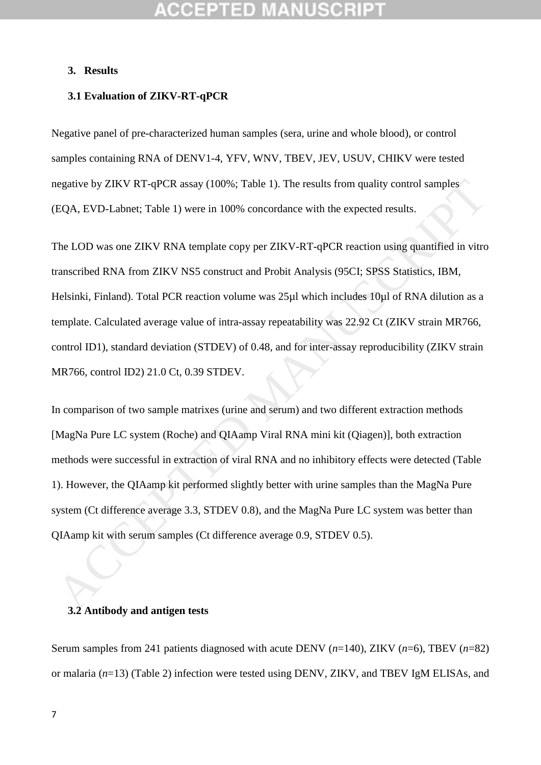# **3. Results**

### **3.1 Evaluation of ZIKV-RT-qPCR**

Negative panel of pre-characterized human samples (sera, urine and whole blood), or control samples containing RNA of DENV1-4, YFV, WNV, TBEV, JEV, USUV, CHIKV were tested negative by ZIKV RT-qPCR assay (100%; Table 1). The results from quality control samples (EQA, EVD-Labnet; Table 1) were in 100% concordance with the expected results.

The LOD was one ZIKV RNA template copy per ZIKV-RT-qPCR reaction using quantified in vitro transcribed RNA from ZIKV NS5 construct and Probit Analysis (95CI; SPSS Statistics, IBM, Helsinki, Finland). Total PCR reaction volume was 25µl which includes 10µl of RNA dilution as a template. Calculated average value of intra-assay repeatability was 22.92 Ct (ZIKV strain MR766, control ID1), standard deviation (STDEV) of 0.48, and for inter-assay reproducibility (ZIKV strain MR766, control ID2) 21.0 Ct, 0.39 STDEV. egative by ZIKV RT-qPCR assay (100%; Table 1). The results from quality control samples<br>EQA, EVD-Labnet; Table 1) were in 100% concordance with the expected results.<br>The LOD was one ZIKV RNA template copy per ZIKV-RT-qPCR

In comparison of two sample matrixes (urine and serum) and two different extraction methods [MagNa Pure LC system (Roche) and QIAamp Viral RNA mini kit (Qiagen)], both extraction methods were successful in extraction of viral RNA and no inhibitory effects were detected (Table 1). However, the QIAamp kit performed slightly better with urine samples than the MagNa Pure system (Ct difference average 3.3, STDEV 0.8), and the MagNa Pure LC system was better than QIAamp kit with serum samples (Ct difference average 0.9, STDEV 0.5).

### **3.2 Antibody and antigen tests**

Serum samples from 241 patients diagnosed with acute DENV (*n*=140), ZIKV (*n*=6), TBEV (*n*=82) or malaria (*n*=13) (Table 2) infection were tested using DENV, ZIKV, and TBEV IgM ELISAs, and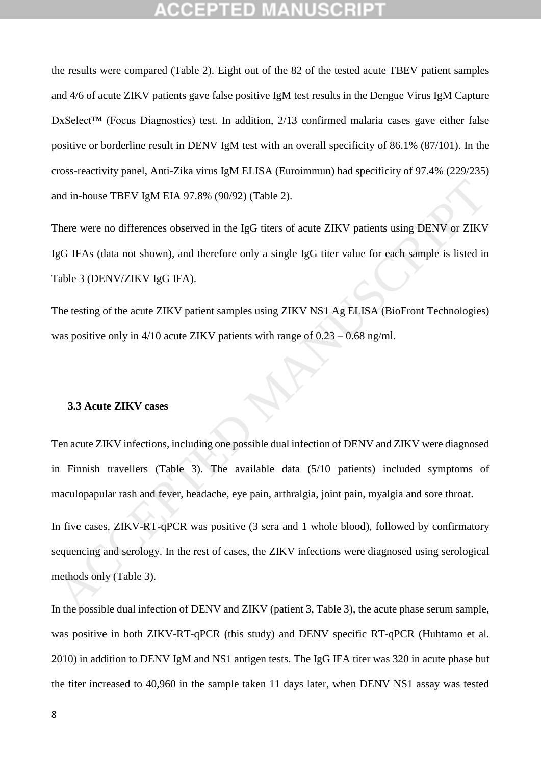the results were compared (Table 2). Eight out of the 82 of the tested acute TBEV patient samples and 4/6 of acute ZIKV patients gave false positive IgM test results in the Dengue Virus IgM Capture DxSelect<sup>™</sup> (Focus Diagnostics) test. In addition, 2/13 confirmed malaria cases gave either false positive or borderline result in DENV IgM test with an overall specificity of 86.1% (87/101). In the cross-reactivity panel, Anti-Zika virus IgM ELISA (Euroimmun) had specificity of 97.4% (229/235) and in-house TBEV IgM EIA 97.8% (90/92) (Table 2).

There were no differences observed in the IgG titers of acute ZIKV patients using DENV or ZIKV IgG IFAs (data not shown), and therefore only a single IgG titer value for each sample is listed in Table 3 (DENV/ZIKV IgG IFA).

The testing of the acute ZIKV patient samples using ZIKV NS1 Ag ELISA (BioFront Technologies) was positive only in 4/10 acute ZIKV patients with range of 0.23 – 0.68 ng/ml.

### **3.3 Acute ZIKV cases**

Ten acute ZIKV infections, including one possible dual infection of DENV and ZIKV were diagnosed in Finnish travellers (Table 3). The available data (5/10 patients) included symptoms of maculopapular rash and fever, headache, eye pain, arthralgia, joint pain, myalgia and sore throat.

In five cases, ZIKV-RT-qPCR was positive (3 sera and 1 whole blood), followed by confirmatory sequencing and serology. In the rest of cases, the ZIKV infections were diagnosed using serological methods only (Table 3). and in-house TBEV IgM ETA 97.8% (90.92) (Table 2).<br>There were no differences observed in the IgG titers of acute ZIKV patients using DENV or ZIKV<br>gG IFAs (data not shown), and therefore only a single IgG titer value for ea

In the possible dual infection of DENV and ZIKV (patient 3, Table 3), the acute phase serum sample, was positive in both ZIKV-RT-qPCR (this study) and DENV specific RT-qPCR (Huhtamo et al. 2010) in addition to DENV IgM and NS1 antigen tests. The IgG IFA titer was 320 in acute phase but the titer increased to 40,960 in the sample taken 11 days later, when DENV NS1 assay was tested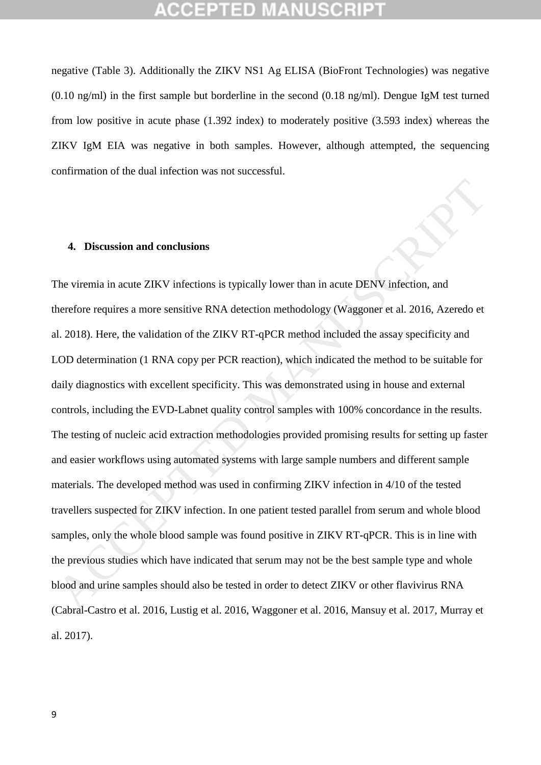negative (Table 3). Additionally the ZIKV NS1 Ag ELISA (BioFront Technologies) was negative (0.10 ng/ml) in the first sample but borderline in the second (0.18 ng/ml). Dengue IgM test turned from low positive in acute phase (1.392 index) to moderately positive (3.593 index) whereas the ZIKV IgM EIA was negative in both samples. However, although attempted, the sequencing confirmation of the dual infection was not successful.

### **4. Discussion and conclusions**

The viremia in acute ZIKV infections is typically lower than in acute DENV infection, and therefore requires a more sensitive RNA detection methodology (Waggoner et al. 2016, Azeredo et al. 2018). Here, the validation of the ZIKV RT-qPCR method included the assay specificity and LOD determination (1 RNA copy per PCR reaction), which indicated the method to be suitable for daily diagnostics with excellent specificity. This was demonstrated using in house and external controls, including the EVD-Labnet quality control samples with 100% concordance in the results. The testing of nucleic acid extraction methodologies provided promising results for setting up faster and easier workflows using automated systems with large sample numbers and different sample materials. The developed method was used in confirming ZIKV infection in 4/10 of the tested travellers suspected for ZIKV infection. In one patient tested parallel from serum and whole blood samples, only the whole blood sample was found positive in ZIKV RT-qPCR. This is in line with the previous studies which have indicated that serum may not be the best sample type and whole blood and urine samples should also be tested in order to detect ZIKV or other flavivirus RNA (Cabral-Castro et al. 2016, Lustig et al. 2016, Waggoner et al. 2016, Mansuy et al. 2017, Murray et al. 2017). 4. Discussion and conclusions<br>The viremia in acute ZIKV infections is typically lower than in acute DENV infection, and<br>herefore requires a more sensitive RNA detection methodology (Waggoner et al. 2016, Azeredo et<br>al. 20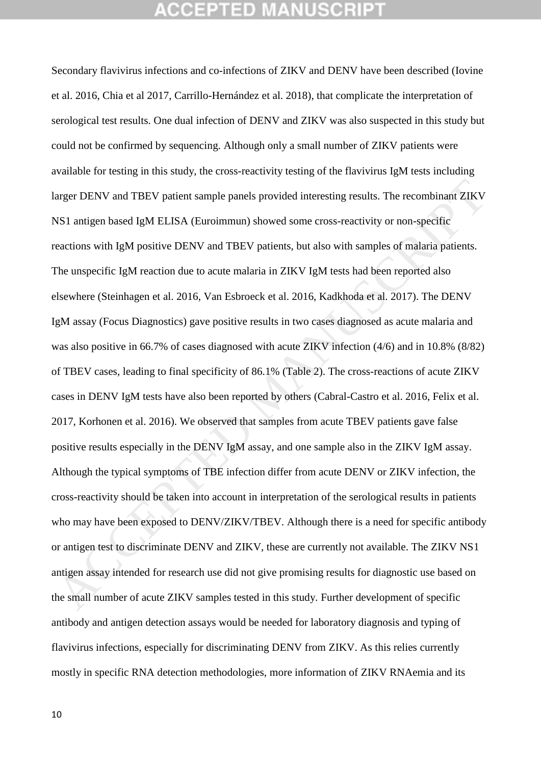# GEPTED

Secondary flavivirus infections and co-infections of ZIKV and DENV have been described (Iovine et al. 2016, Chia et al 2017, Carrillo-Hernández et al. 2018), that complicate the interpretation of serological test results. One dual infection of DENV and ZIKV was also suspected in this study but could not be confirmed by sequencing. Although only a small number of ZIKV patients were available for testing in this study, the cross-reactivity testing of the flavivirus IgM tests including larger DENV and TBEV patient sample panels provided interesting results. The recombinant ZIKV NS1 antigen based IgM ELISA (Euroimmun) showed some cross-reactivity or non-specific reactions with IgM positive DENV and TBEV patients, but also with samples of malaria patients. The unspecific IgM reaction due to acute malaria in ZIKV IgM tests had been reported also elsewhere (Steinhagen et al. 2016, Van Esbroeck et al. 2016, Kadkhoda et al. 2017). The DENV IgM assay (Focus Diagnostics) gave positive results in two cases diagnosed as acute malaria and was also positive in 66.7% of cases diagnosed with acute ZIKV infection (4/6) and in 10.8% (8/82) of TBEV cases, leading to final specificity of 86.1% (Table 2). The cross-reactions of acute ZIKV cases in DENV IgM tests have also been reported by others (Cabral-Castro et al. 2016, Felix et al. 2017, Korhonen et al. 2016). We observed that samples from acute TBEV patients gave false positive results especially in the DENV IgM assay, and one sample also in the ZIKV IgM assay. Although the typical symptoms of TBE infection differ from acute DENV or ZIKV infection, the cross-reactivity should be taken into account in interpretation of the serological results in patients who may have been exposed to DENV/ZIKV/TBEV. Although there is a need for specific antibody or antigen test to discriminate DENV and ZIKV, these are currently not available. The ZIKV NS1 antigen assay intended for research use did not give promising results for diagnostic use based on the small number of acute ZIKV samples tested in this study. Further development of specific antibody and antigen detection assays would be needed for laboratory diagnosis and typing of flavivirus infections, especially for discriminating DENV from ZIKV. As this relies currently mostly in specific RNA detection methodologies, more information of ZIKV RNAemia and its arger DENV and TBEV patient sample panels provided interesting results. The recombinant ZIKV<br>SSI antigen based IgM ELISA (Euroimmun) showed some cross-reactivity or non-specific<br>ecactions with IgM positive DENV and TBEV pa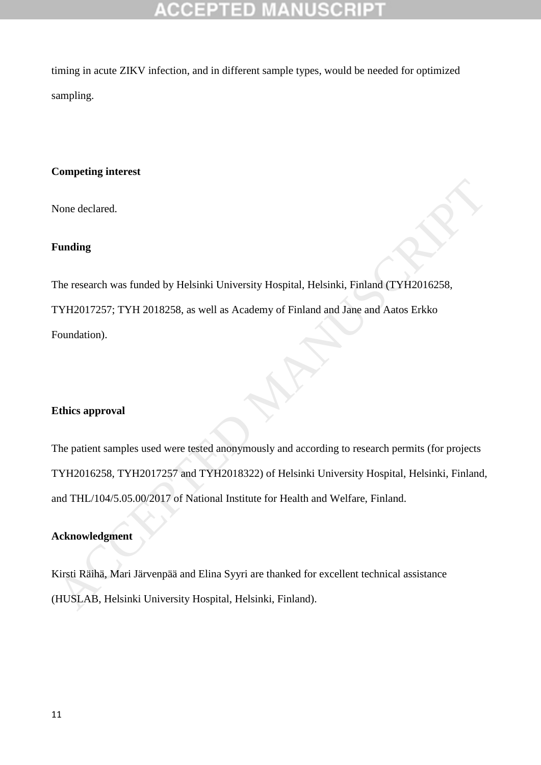# CCEPTED

timing in acute ZIKV infection, and in different sample types, would be needed for optimized sampling.

### **Competing interest**

None declared.

# **Funding**

The research was funded by Helsinki University Hospital, Helsinki, Finland (TYH2016258, TYH2017257; TYH 2018258, as well as Academy of Finland and Jane and Aatos Erkko Foundation).

# **Ethics approval**

The patient samples used were tested anonymously and according to research permits (for projects TYH2016258, TYH2017257 and TYH2018322) of Helsinki University Hospital, Helsinki, Finland, and THL/104/5.05.00/2017 of National Institute for Health and Welfare, Finland. The research was funded by Helsinki University Hospital, Helsinki, Finland (TY112016258,<br>TY112017257; TY11 2018258, as well as Academy of Finland and Jane and Aatos Erkko<br>Foundation).<br>Ethics approval<br>The patient samples us

### **Acknowledgment**

Kirsti Räihä, Mari Järvenpää and Elina Syyri are thanked for excellent technical assistance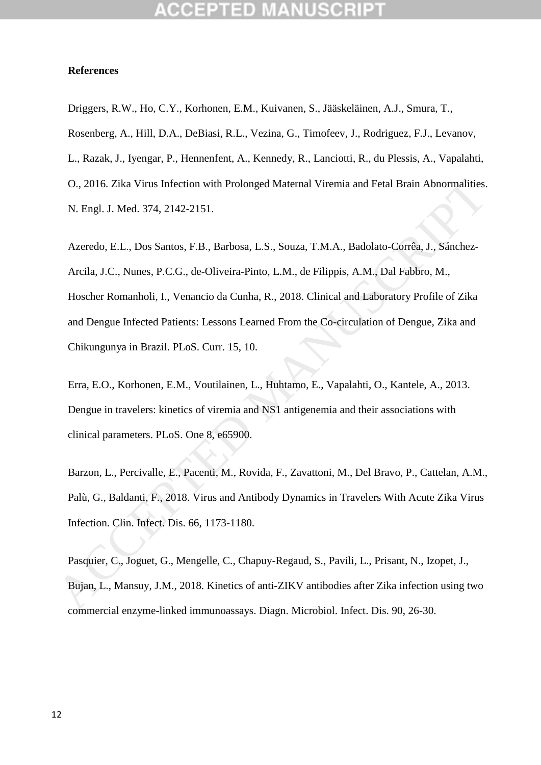### **References**

Driggers, R.W., Ho, C.Y., Korhonen, E.M., Kuivanen, S., Jääskeläinen, A.J., Smura, T., Rosenberg, A., Hill, D.A., DeBiasi, R.L., Vezina, G., Timofeev, J., Rodriguez, F.J., Levanov, L., Razak, J., Iyengar, P., Hennenfent, A., Kennedy, R., Lanciotti, R., du Plessis, A., Vapalahti, O., 2016. Zika Virus Infection with Prolonged Maternal Viremia and Fetal Brain Abnormalities. N. Engl. J. Med. 374, 2142-2151.

Azeredo, E.L., Dos Santos, F.B., Barbosa, L.S., Souza, T.M.A., Badolato-Corrêa, J., Sánchez-Arcila, J.C., Nunes, P.C.G., de-Oliveira-Pinto, L.M., de Filippis, A.M., Dal Fabbro, M., Hoscher Romanholi, I., Venancio da Cunha, R., 2018. Clinical and Laboratory Profile of Zika and Dengue Infected Patients: Lessons Learned From the Co-circulation of Dengue, Zika and Chikungunya in Brazil. PLoS. Curr. 15, 10. O., 2016. Zika Virus Infection with Prolonged Matemal Viremia and Fetal Brain Abnormalities.<br>
N. Engl. J. Med. 374, 2142-2151.<br>
Azeredo, E.L., Dos Santos, F.B., Barbosa, L.S., Souza, T.M.A., Badolato-Corréa, J., Sánchez-<br>

Erra, E.O., Korhonen, E.M., Voutilainen, L., Huhtamo, E., Vapalahti, O., Kantele, A., 2013. Dengue in travelers: kinetics of viremia and NS1 antigenemia and their associations with clinical parameters. PLoS. One 8, e65900.

Barzon, L., Percivalle, E., Pacenti, M., Rovida, F., Zavattoni, M., Del Bravo, P., Cattelan, A.M., Palù, G., Baldanti, F., 2018. Virus and Antibody Dynamics in Travelers With Acute Zika Virus Infection. Clin. Infect. Dis. 66, 1173-1180.

Pasquier, C., Joguet, G., Mengelle, C., Chapuy-Regaud, S., Pavili, L., Prisant, N., Izopet, J., Bujan, L., Mansuy, J.M., 2018. Kinetics of anti-ZIKV antibodies after Zika infection using two commercial enzyme-linked immunoassays. Diagn. Microbiol. Infect. Dis. 90, 26-30.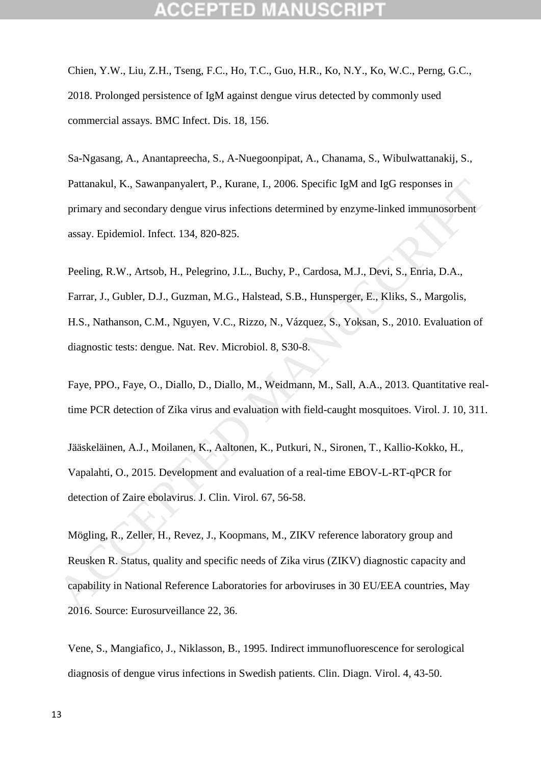Chien, Y.W., Liu, Z.H., Tseng, F.C., Ho, T.C., Guo, H.R., Ko, N.Y., Ko, W.C., Perng, G.C., 2018. Prolonged persistence of IgM against dengue virus detected by commonly used commercial assays. BMC Infect. Dis. 18, 156.

Sa-Ngasang, A., Anantapreecha, S., A-Nuegoonpipat, A., Chanama, S., Wibulwattanakij, S., Pattanakul, K., Sawanpanyalert, P., Kurane, I., 2006. Specific IgM and IgG responses in primary and secondary dengue virus infections determined by enzyme-linked immunosorbent assay. Epidemiol. Infect. 134, 820-825.

Peeling, R.W., Artsob, H., Pelegrino, J.L., Buchy, P., Cardosa, M.J., Devi, S., Enria, D.A., Farrar, J., Gubler, D.J., Guzman, M.G., Halstead, S.B., Hunsperger, E., Kliks, S., Margolis, H.S., Nathanson, C.M., Nguyen, V.C., Rizzo, N., Vázquez, S., Yoksan, S., 2010. Evaluation of diagnostic tests: dengue. Nat. Rev. Microbiol. 8, S30-8. Pattanakul, K., Sawanpanyalert, P., Kurane, I., 2006. Specific IgM and IgG responses in<br>primary and secondary dengue virus infections determined by enzyme-linked immunosorbent<br>assay. Epidemiol. Infect. 134, 820-825.<br>Peclin

Faye, PPO., Faye, O., Diallo, D., Diallo, M., Weidmann, M., Sall, A.A., 2013. Quantitative realtime PCR detection of Zika virus and evaluation with field-caught mosquitoes. Virol. J. 10, 311.

Jääskeläinen, A.J., Moilanen, K., Aaltonen, K., Putkuri, N., Sironen, T., Kallio-Kokko, H., Vapalahti, O., 2015. Development and evaluation of a real-time EBOV-L-RT-qPCR for detection of Zaire ebolavirus. J. Clin. Virol. 67, 56-58.

Mögling, R., Zeller, H., Revez, J., Koopmans, M., ZIKV reference laboratory group and Reusken R. Status, quality and specific needs of Zika virus (ZIKV) diagnostic capacity and capability in National Reference Laboratories for arboviruses in 30 EU/EEA countries, May 2016. Source: Eurosurveillance 22, 36.

Vene, S., Mangiafico, J., Niklasson, B., 1995. Indirect immunofluorescence for serological diagnosis of dengue virus infections in Swedish patients. Clin. Diagn. Virol. 4, 43-50.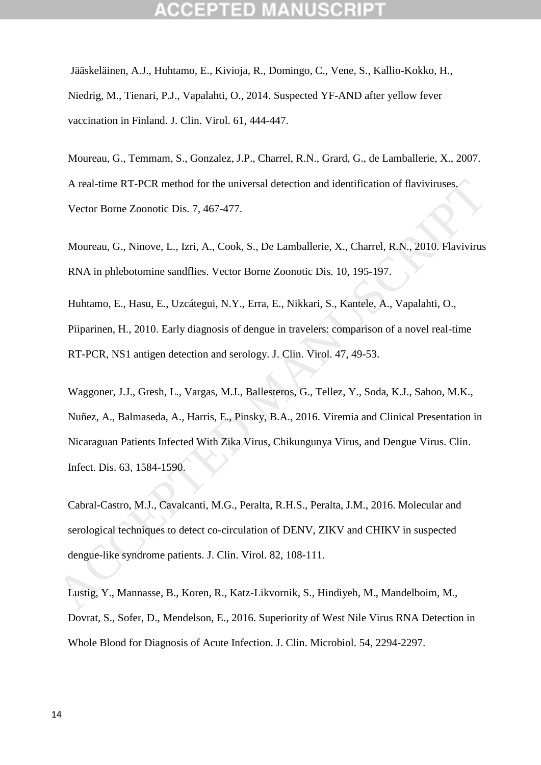Jääskeläinen, A.J., Huhtamo, E., Kivioja, R., Domingo, C., Vene, S., Kallio-Kokko, H., Niedrig, M., Tienari, P.J., Vapalahti, O., 2014. Suspected YF-AND after yellow fever vaccination in Finland. J. Clin. Virol. 61, 444-447.

Moureau, G., Temmam, S., Gonzalez, J.P., Charrel, R.N., Grard, G., de Lamballerie, X., 2007. A real-time RT-PCR method for the universal detection and identification of flaviviruses. Vector Borne Zoonotic Dis. 7, 467-477.

Moureau, G., Ninove, L., Izri, A., Cook, S., De Lamballerie, X., Charrel, R.N., 2010. Flavivirus RNA in phlebotomine sandflies. Vector Borne Zoonotic Dis. 10, 195-197.

Huhtamo, E., Hasu, E., Uzcátegui, N.Y., Erra, E., Nikkari, S., Kantele, A., Vapalahti, O., Piiparinen, H., 2010. Early diagnosis of dengue in travelers: comparison of a novel real-time RT-PCR, NS1 antigen detection and serology. J. Clin. Virol. 47, 49-53.

Waggoner, J.J., Gresh, L., Vargas, M.J., Ballesteros, G., Tellez, Y., Soda, K.J., Sahoo, M.K., Nuñez, A., Balmaseda, A., Harris, E., Pinsky, B.A., 2016. Viremia and Clinical Presentation in Nicaraguan Patients Infected With Zika Virus, Chikungunya Virus, and Dengue Virus. Clin. Infect. Dis. 63, 1584-1590. A real-time RT-PCR method for the universal detection and identification of flaviviruses.<br>Vector Borne Zoonotic Dis. 7, 467-477.<br>Moureau, G., Ninove, L., 17ri, A., Cook, S., De Lamballerie, X., Charrel, R.N., 2010. Flavivi

Cabral-Castro, M.J., Cavalcanti, M.G., Peralta, R.H.S., Peralta, J.M., 2016. Molecular and serological techniques to detect co-circulation of DENV, ZIKV and CHIKV in suspected dengue-like syndrome patients. J. Clin. Virol. 82, 108-111.

Lustig, Y., Mannasse, B., Koren, R., Katz-Likvornik, S., Hindiyeh, M., Mandelboim, M., Dovrat, S., Sofer, D., Mendelson, E., 2016. Superiority of West Nile Virus RNA Detection in Whole Blood for Diagnosis of Acute Infection. J. Clin. Microbiol. 54, 2294-2297.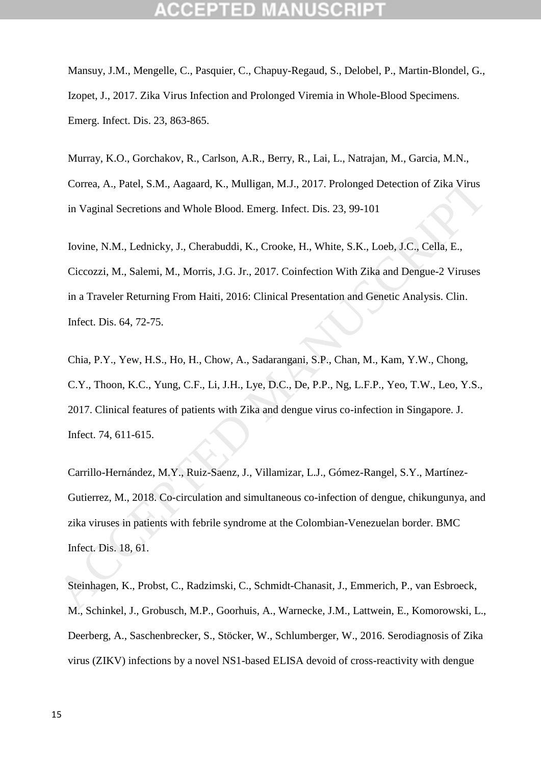Mansuy, J.M., Mengelle, C., Pasquier, C., Chapuy-Regaud, S., Delobel, P., Martin-Blondel, G., Izopet, J., 2017. Zika Virus Infection and Prolonged Viremia in Whole-Blood Specimens. Emerg. Infect. Dis. 23, 863-865.

Murray, K.O., Gorchakov, R., Carlson, A.R., Berry, R., Lai, L., Natrajan, M., Garcia, M.N., Correa, A., Patel, S.M., Aagaard, K., Mulligan, M.J., 2017. Prolonged Detection of Zika Virus in Vaginal Secretions and Whole Blood. Emerg. Infect. Dis. 23, 99-101

Iovine, N.M., Lednicky, J., Cherabuddi, K., Crooke, H., White, S.K., Loeb, J.C., Cella, E., Ciccozzi, M., Salemi, M., Morris, J.G. Jr., 2017. Coinfection With Zika and Dengue-2 Viruses in a Traveler Returning From Haiti, 2016: Clinical Presentation and Genetic Analysis. Clin. Infect. Dis. 64, 72-75. Correa, A., Patel, S.M., Aagaard, K., Mulligan, M.J., 2017. Prolonged Detection of Zika Virus<br>
in Vaginal Secretions and Whole Blood. Emerg. Infect. Dis. 23, 99-101<br>
lovine, N.M., Lednicky, J., Cherabuddi, K., Crooke, H.,

Chia, P.Y., Yew, H.S., Ho, H., Chow, A., Sadarangani, S.P., Chan, M., Kam, Y.W., Chong, C.Y., Thoon, K.C., Yung, C.F., Li, J.H., Lye, D.C., De, P.P., Ng, L.F.P., Yeo, T.W., Leo, Y.S., 2017. Clinical features of patients with Zika and dengue virus co-infection in Singapore. J. Infect. 74, 611-615.

Carrillo-Hernández, M.Y., Ruiz-Saenz, J., Villamizar, L.J., Gómez-Rangel, S.Y., Martínez-Gutierrez, M., 2018. Co-circulation and simultaneous co-infection of dengue, chikungunya, and zika viruses in patients with febrile syndrome at the Colombian-Venezuelan border. BMC Infect. Dis. 18, 61.

Steinhagen, K., Probst, C., Radzimski, C., Schmidt-Chanasit, J., Emmerich, P., van Esbroeck, M., Schinkel, J., Grobusch, M.P., Goorhuis, A., Warnecke, J.M., Lattwein, E., Komorowski, L., Deerberg, A., Saschenbrecker, S., Stöcker, W., Schlumberger, W., 2016. Serodiagnosis of Zika virus (ZIKV) infections by a novel NS1-based ELISA devoid of cross-reactivity with dengue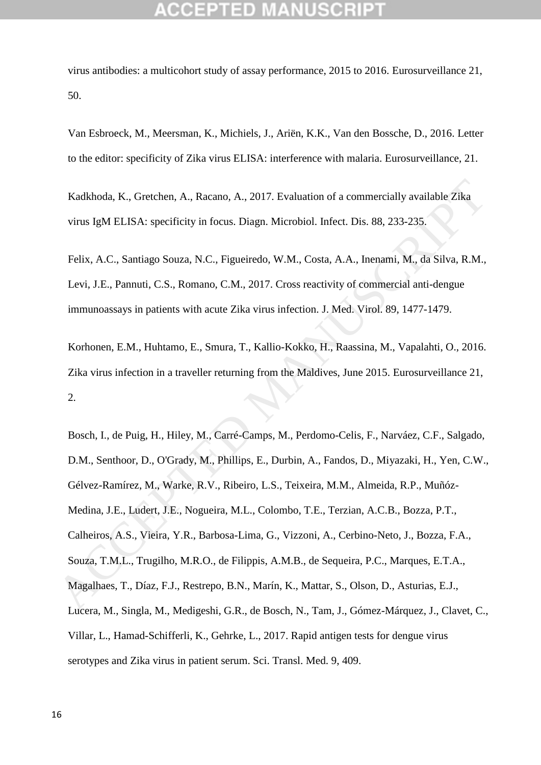virus antibodies: a multicohort study of assay performance, 2015 to 2016. Eurosurveillance 21, 50.

Van Esbroeck, M., Meersman, K., Michiels, J., Ariën, K.K., Van den Bossche, D., 2016. Letter to the editor: specificity of Zika virus ELISA: interference with malaria. Eurosurveillance, 21.

Kadkhoda, K., Gretchen, A., Racano, A., 2017. Evaluation of a commercially available Zika virus IgM ELISA: specificity in focus. Diagn. Microbiol. Infect. Dis. 88, 233-235.

Felix, A.C., Santiago Souza, N.C., Figueiredo, W.M., Costa, A.A., Inenami, M., da Silva, R.M., Levi, J.E., Pannuti, C.S., Romano, C.M., 2017. Cross reactivity of commercial anti-dengue immunoassays in patients with acute Zika virus infection. J. Med. Virol. 89, 1477-1479.

Korhonen, E.M., Huhtamo, E., Smura, T., Kallio-Kokko, H., Raassina, M., Vapalahti, O., 2016. Zika virus infection in a traveller returning from the Maldives, June 2015. Eurosurveillance 21, 2.

Bosch, I., de Puig, H., Hiley, M., Carré-Camps, M., Perdomo-Celis, F., Narváez, C.F., Salgado, D.M., Senthoor, D., O'Grady, M., Phillips, E., Durbin, A., Fandos, D., Miyazaki, H., Yen, C.W., Gélvez-Ramírez, M., Warke, R.V., Ribeiro, L.S., Teixeira, M.M., Almeida, R.P., Muñóz-Medina, J.E., Ludert, J.E., Nogueira, M.L., Colombo, T.E., Terzian, A.C.B., Bozza, P.T., Calheiros, A.S., Vieira, Y.R., Barbosa-Lima, G., Vizzoni, A., Cerbino-Neto, J., Bozza, F.A., Souza, T.M.L., Trugilho, M.R.O., de Filippis, A.M.B., de Sequeira, P.C., Marques, E.T.A., Magalhaes, T., Díaz, F.J., Restrepo, B.N., Marín, K., Mattar, S., Olson, D., Asturias, E.J., Lucera, M., Singla, M., Medigeshi, G.R., de Bosch, N., Tam, J., Gómez-Márquez, J., Clavet, C., Villar, L., Hamad-Schifferli, K., Gehrke, L., 2017. Rapid antigen tests for dengue virus serotypes and Zika virus in patient serum. Sci. Transl. Med. 9, 409. Kadkhoda, K., Gretchen, A., Racano, A., 2017. Evaluation of a commercially available Zika<br>virus IgM ELISA: specificity in focus. Diagn. Microbiol. Infect. Dis. 88, 233-235.<br>Felix, A.C., Samiago Souza, N.C., Figueiredo, W.M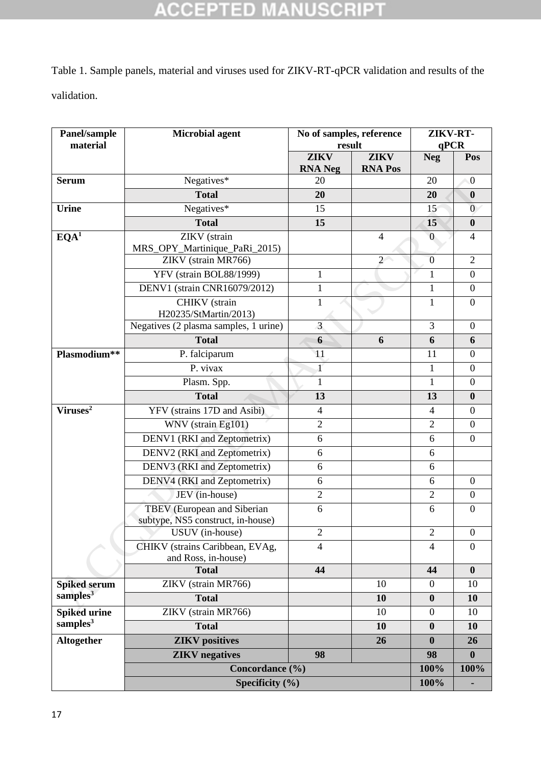# **ACCEPTED MANUSCRIPT**

Table 1. Sample panels, material and viruses used for ZIKV-RT-qPCR validation and results of the validation.

| Panel/sample<br>material | <b>Microbial agent</b>                                 | No of samples, reference<br>result |                               | ZIKV-RT-<br>qPCR |                  |
|--------------------------|--------------------------------------------------------|------------------------------------|-------------------------------|------------------|------------------|
|                          |                                                        | <b>ZIKV</b><br><b>RNA</b> Neg      | <b>ZIKV</b><br><b>RNA Pos</b> | <b>Neg</b>       | Pos              |
| <b>Serum</b>             | Negatives*                                             | 20                                 |                               | 20               | $\boldsymbol{0}$ |
|                          | <b>Total</b>                                           | 20                                 |                               | 20               | $\boldsymbol{0}$ |
| <b>Urine</b>             | Negatives*                                             | 15                                 |                               | 15               | $\boldsymbol{0}$ |
|                          | <b>Total</b>                                           | 15                                 |                               | 15               | $\bf{0}$         |
| EQA <sup>1</sup>         | ZIKV (strain                                           |                                    | 4                             | $\overline{0}$   | $\overline{4}$   |
|                          | MRS_OPY_Martinique_PaRi_2015)                          |                                    |                               |                  |                  |
|                          | ZIKV (strain MR766)                                    |                                    | $\overline{2}$                | $\overline{0}$   | $\overline{2}$   |
|                          | YFV (strain BOL88/1999)                                | 1                                  |                               | $\mathbf{1}$     | $\boldsymbol{0}$ |
|                          | <b>DENV1</b> (strain CNR16079/2012)                    | $\mathbf{1}$                       |                               | 1                | $\overline{0}$   |
|                          | CHIKV (strain                                          | $\mathbf{1}$                       |                               | $\mathbf{1}$     | $\boldsymbol{0}$ |
|                          | H20235/StMartin/2013)                                  |                                    |                               |                  |                  |
|                          | Negatives (2 plasma samples, 1 urine)                  | $\overline{3}$                     |                               | 3                | $\boldsymbol{0}$ |
|                          | <b>Total</b>                                           | 6                                  | 6                             | 6                | 6                |
| Plasmodium**             | P. falciparum                                          | 11                                 |                               | 11               | $\boldsymbol{0}$ |
|                          | P. vivax                                               | $\mathbf{1}$                       |                               | 1                | $\boldsymbol{0}$ |
|                          | Plasm. Spp.                                            | 1                                  |                               | 1                | $\boldsymbol{0}$ |
|                          | <b>Total</b>                                           | 13                                 |                               | 13               | $\bf{0}$         |
| Viruses <sup>2</sup>     | YFV (strains 17D and Asibi)                            | $\overline{4}$                     |                               | $\overline{4}$   | $\boldsymbol{0}$ |
|                          | WNV (strain Eg101)                                     | $\overline{2}$                     |                               | $\overline{2}$   | $\boldsymbol{0}$ |
|                          | DENV1 (RKI and Zeptometrix)                            | 6                                  |                               | 6                | $\boldsymbol{0}$ |
|                          | DENV2 (RKI and Zeptometrix)                            | 6                                  |                               | 6                |                  |
|                          | DENV3 (RKI and Zeptometrix)                            | 6                                  |                               | 6                |                  |
|                          | DENV4 (RKI and Zeptometrix)                            | 6                                  |                               | 6                | $\boldsymbol{0}$ |
|                          | JEV (in-house)                                         | $\overline{2}$                     |                               | $\overline{2}$   | $\boldsymbol{0}$ |
|                          | TBEV (European and Siberian                            | 6                                  |                               | 6                | $\overline{0}$   |
|                          | subtype, NS5 construct, in-house)                      |                                    |                               |                  |                  |
|                          | USUV (in-house)                                        | $\overline{c}$                     |                               | $\boldsymbol{2}$ | $\boldsymbol{0}$ |
|                          | CHIKV (strains Caribbean, EVAg,<br>and Ross, in-house) | $\overline{4}$                     |                               | $\overline{4}$   | $\boldsymbol{0}$ |
|                          | <b>Total</b>                                           | 44                                 |                               | 44               | $\bf{0}$         |
| <b>Spiked serum</b>      | ZIKV (strain MR766)                                    |                                    | 10                            | $\theta$         | 10               |
| samples <sup>3</sup>     | <b>Total</b>                                           |                                    | 10                            | $\boldsymbol{0}$ | 10               |
| <b>Spiked urine</b>      | ZIKV (strain MR766)                                    |                                    | 10                            | $\boldsymbol{0}$ | 10               |
| samples <sup>3</sup>     | <b>Total</b>                                           |                                    | 10                            | $\boldsymbol{0}$ | 10               |
| Altogether               | <b>ZIKV</b> positives                                  |                                    | 26                            | $\bf{0}$         | 26               |
|                          | <b>ZIKV</b> negatives                                  | 98                                 |                               | 98               | $\boldsymbol{0}$ |
|                          | Concordance (%)                                        |                                    |                               | 100%             | 100%             |
|                          | Specificity $(\% )$                                    |                                    |                               | 100%             |                  |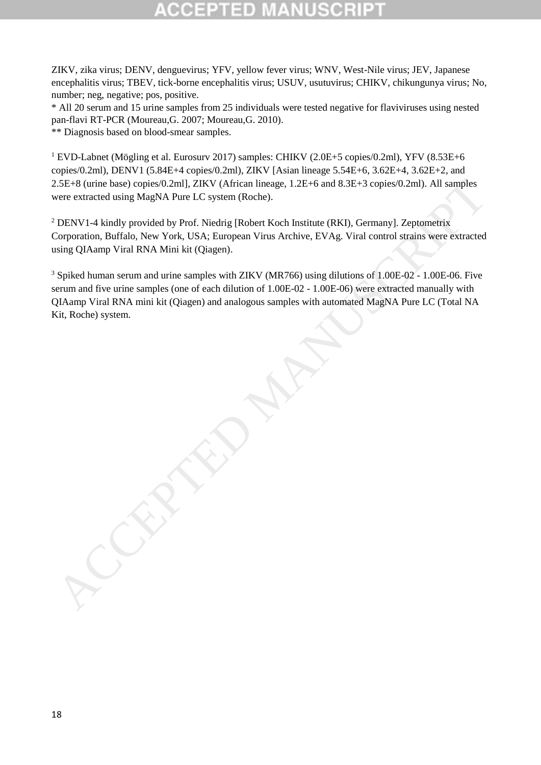# ED.

ZIKV, zika virus; DENV, denguevirus; YFV, yellow fever virus; WNV, West-Nile virus; JEV, Japanese encephalitis virus; TBEV, tick-borne encephalitis virus; USUV, usutuvirus; CHIKV, chikungunya virus; No, number; neg, negative; pos, positive.

\* All 20 serum and 15 urine samples from 25 individuals were tested negative for flaviviruses using nested pan-flavi RT-PCR (Moureau,G. 2007; Moureau,G. 2010).

\*\* Diagnosis based on blood-smear samples.

<sup>1</sup> EVD-Labnet (Mögling et al. Eurosury 2017) samples: CHIKV (2.0E+5 copies/0.2ml), YFV (8.53E+6 copies/0.2ml), DENV1 (5.84E+4 copies/0.2ml), ZIKV [Asian lineage 5.54E+6, 3.62E+4, 3.62E+2, and 2.5E+8 (urine base) copies/0.2ml], ZIKV (African lineage, 1.2E+6 and 8.3E+3 copies/0.2ml). All samples were extracted using MagNA Pure LC system (Roche).

<sup>2</sup> DENV1-4 kindly provided by Prof. Niedrig [Robert Koch Institute (RKI), Germany]. Zeptometrix Corporation, Buffalo, New York, USA; European Virus Archive, EVAg. Viral control strains were extracted using QIAamp Viral RNA Mini kit (Qiagen).

<sup>3</sup> Spiked human serum and urine samples with ZIKV (MR766) using dilutions of 1.00E-02 - 1.00E-06. Five serum and five urine samples (one of each dilution of 1.00E-02 - 1.00E-06) were extracted manually with QIAamp Viral RNA mini kit (Qiagen) and analogous samples with automated MagNA Pure LC (Total NA 2.5248 (urine base) copies Ol.2ml), ZIKV (African linege, 1.2E+6 and 8.3E+3 copies/0.2ml). All samples<br>vere extracted using MagNA Pure LC system (Roche).<br>
<sup>2</sup>DENV1-4 kindly provided by Prof. Nicolay (Robert Koch Institute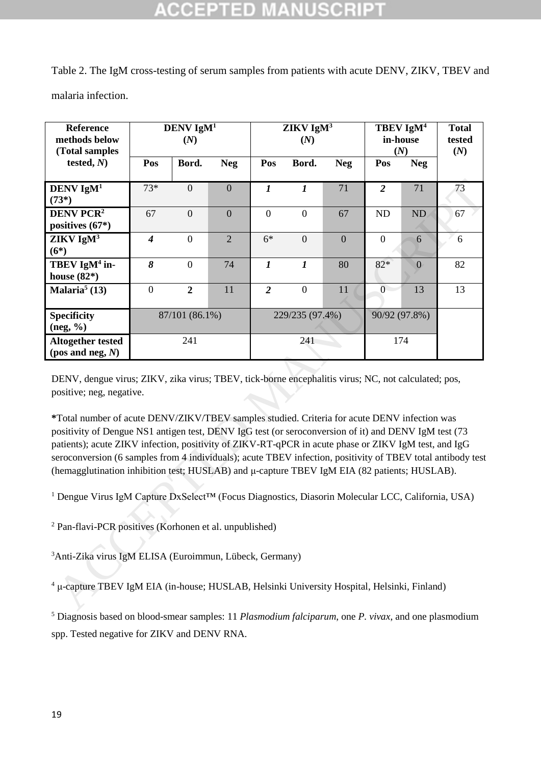| Reference<br>methods below<br>(Total samples                                                                                                                                                                                                                                                                                                                                                                                                                                                                                |                  | DENV IgM <sup>1</sup><br>(N) |                  |                  | ZIKV IgM <sup>3</sup><br>(N) |                |                  | TBEV IgM <sup>4</sup><br>in-house<br>(N) | <b>Total</b><br>tested<br>(N) |
|-----------------------------------------------------------------------------------------------------------------------------------------------------------------------------------------------------------------------------------------------------------------------------------------------------------------------------------------------------------------------------------------------------------------------------------------------------------------------------------------------------------------------------|------------------|------------------------------|------------------|------------------|------------------------------|----------------|------------------|------------------------------------------|-------------------------------|
| tested, $N$ )                                                                                                                                                                                                                                                                                                                                                                                                                                                                                                               | Pos              | Bord.                        | <b>Neg</b>       | Pos              | Bord.                        | <b>Neg</b>     | Pos              | <b>Neg</b>                               |                               |
| DENV $IgM1$<br>$(73*)$                                                                                                                                                                                                                                                                                                                                                                                                                                                                                                      | $73*$            | $\mathbf{0}$                 | $\boldsymbol{0}$ | $\boldsymbol{l}$ | $\boldsymbol{l}$             | 71             | $\overline{2}$   | 71                                       | 73                            |
| <b>DENV PCR<sup>2</sup></b><br>positives $(67*)$                                                                                                                                                                                                                                                                                                                                                                                                                                                                            | 67               | $\boldsymbol{0}$             | $\mathbf{0}$     | $\boldsymbol{0}$ | $\boldsymbol{0}$             | 67             | <b>ND</b>        | ND                                       | 67                            |
| $ZIKV$ IgM <sup>3</sup><br>$(6*)$                                                                                                                                                                                                                                                                                                                                                                                                                                                                                           | $\boldsymbol{4}$ | $\mathbf{0}$                 | $\overline{2}$   | $6*$             | $\mathbf{0}$                 | $\overline{0}$ | $\boldsymbol{0}$ | 6                                        | 6                             |
| TBEV IgM <sup>4</sup> in-<br>house $(82*)$                                                                                                                                                                                                                                                                                                                                                                                                                                                                                  | 8                | $\boldsymbol{0}$             | 74               | $\boldsymbol{l}$ | $\boldsymbol{l}$             | 80             | $82*$            | $\mathbf{0}$                             | 82                            |
| Malaria <sup>5</sup> $(13)$                                                                                                                                                                                                                                                                                                                                                                                                                                                                                                 | $\boldsymbol{0}$ | $\overline{2}$               | 11               | $\overline{2}$   | $\boldsymbol{0}$             | 11             | $\overline{0}$   | 13                                       | 13                            |
| <b>Specificity</b><br>(neg, %)                                                                                                                                                                                                                                                                                                                                                                                                                                                                                              |                  | 87/101 (86.1%)               |                  |                  | 229/235 (97.4%)              |                |                  | 90/92 (97.8%)                            |                               |
| <b>Altogether tested</b><br>(pos and neg, $N$ )                                                                                                                                                                                                                                                                                                                                                                                                                                                                             |                  | 241                          |                  |                  | 241                          |                |                  | 174                                      |                               |
| DENV, dengue virus; ZIKV, zika virus; TBEV, tick-borne encephalitis virus; NC, not calculated; pos,<br>positive; neg, negative.                                                                                                                                                                                                                                                                                                                                                                                             |                  |                              |                  |                  |                              |                |                  |                                          |                               |
| *Total number of acute DENV/ZIKV/TBEV samples studied. Criteria for acute DENV infection was<br>positivity of Dengue NS1 antigen test, DENV IgG test (or seroconversion of it) and DENV IgM test (73<br>patients); acute ZIKV infection, positivity of ZIKV-RT-qPCR in acute phase or ZIKV IgM test, and IgG<br>seroconversion (6 samples from 4 individuals); acute TBEV infection, positivity of TBEV total antibody test<br>(hemagglutination inhibition test; HUSLAB) and µ-capture TBEV IgM EIA (82 patients; HUSLAB). |                  |                              |                  |                  |                              |                |                  |                                          |                               |
| <sup>1</sup> Dengue Virus IgM Capture DxSelect <sup>TM</sup> (Focus Diagnostics, Diasorin Molecular LCC, California, USA)                                                                                                                                                                                                                                                                                                                                                                                                   |                  |                              |                  |                  |                              |                |                  |                                          |                               |
| <sup>2</sup> Pan-flavi-PCR positives (Korhonen et al. unpublished)                                                                                                                                                                                                                                                                                                                                                                                                                                                          |                  |                              |                  |                  |                              |                |                  |                                          |                               |
| <sup>3</sup> Anti-Zika virus IgM ELISA (Euroimmun, Lübeck, Germany)                                                                                                                                                                                                                                                                                                                                                                                                                                                         |                  |                              |                  |                  |                              |                |                  |                                          |                               |
| <sup>4</sup> μ-capture TBEV IgM EIA (in-house; HUSLAB, Helsinki University Hospital, Helsinki, Finland)                                                                                                                                                                                                                                                                                                                                                                                                                     |                  |                              |                  |                  |                              |                |                  |                                          |                               |

Table 2. The IgM cross-testing of serum samples from patients with acute DENV, ZIKV, TBEV and malaria infection.

<sup>5</sup> Diagnosis based on blood-smear samples: 11 *Plasmodium falciparum*, one *P. vivax*, and one plasmodium spp. Tested negative for ZIKV and DENV RNA.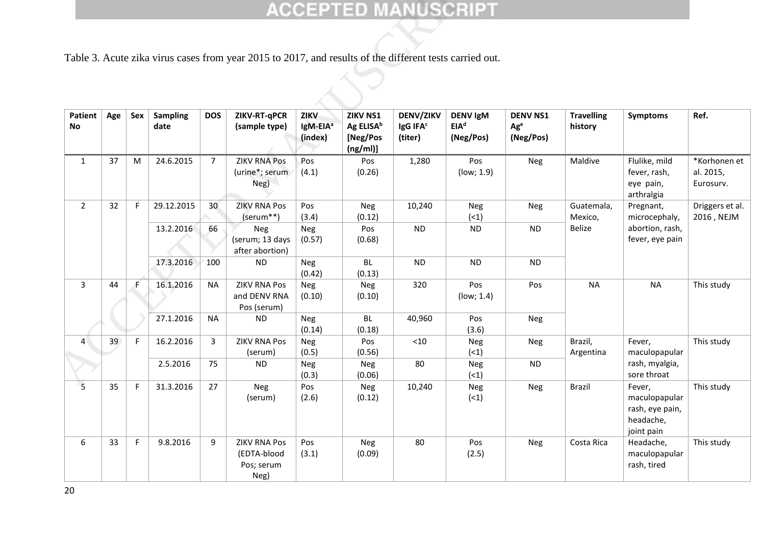|                 |     |             |                         |                | Table 3. Acute zika virus cases from year 2015 to 2017, and results of the different tests carried out. |                                         |                                                           |                                                     |                                                  |                                                 |                              |                                                                       |                                        |
|-----------------|-----|-------------|-------------------------|----------------|---------------------------------------------------------------------------------------------------------|-----------------------------------------|-----------------------------------------------------------|-----------------------------------------------------|--------------------------------------------------|-------------------------------------------------|------------------------------|-----------------------------------------------------------------------|----------------------------------------|
| Patient<br>No   | Age | Sex         | <b>Sampling</b><br>date | <b>DOS</b>     | ZIKV-RT-qPCR<br>(sample type)                                                                           | ZIKV<br>IgM-EIA <sup>a</sup><br>(index) | ZIKV NS1<br>Ag ELISA <sup>b</sup><br>[Neg/Pos<br>(ng/ml)] | <b>DENV/ZIKV</b><br>IgG IFA <sup>c</sup><br>(titer) | <b>DENV IgM</b><br>EIA <sup>d</sup><br>(Neg/Pos) | <b>DENV NS1</b><br>Ag <sup>e</sup><br>(Neg/Pos) | <b>Travelling</b><br>history | <b>Symptoms</b>                                                       | Ref.                                   |
| $\mathbf{1}$    | 37  | M           | 24.6.2015               | $\overline{7}$ | <b>ZIKV RNA Pos</b><br>(urine*; serum<br>Neg)                                                           | Pos<br>(4.1)                            | Pos<br>(0.26)                                             | 1,280                                               | Pos<br>(low; 1.9)                                | Neg                                             | Maldive                      | Flulike, mild<br>fever, rash,<br>eye pain,<br>arthralgia              | *Korhonen et<br>al. 2015,<br>Eurosurv. |
| $\overline{2}$  | 32  | F           | 29.12.2015              | 30             | <b>ZIKV RNA Pos</b><br>(serum**)                                                                        | Pos<br>(3.4)                            | Neg<br>(0.12)                                             | 10,240                                              | Neg<br>(1)                                       | Neg                                             | Guatemala,<br>Mexico,        | Pregnant,<br>microcephaly,                                            | Driggers et al.<br>2016, NEJM          |
|                 |     |             | 13.2.2016               | 66             | Neg<br>(serum; 13 days<br>after abortion)                                                               | <b>Neg</b><br>(0.57)                    | Pos<br>(0.68)                                             | <b>ND</b>                                           | ND                                               | <b>ND</b>                                       | Belize                       | abortion, rash,<br>fever, eye pain                                    |                                        |
|                 |     |             | 17.3.2016               | 100            | <b>ND</b>                                                                                               | <b>Neg</b><br>(0.42)                    | BL<br>(0.13)                                              | <b>ND</b>                                           | ND                                               | <b>ND</b>                                       |                              |                                                                       |                                        |
| 3               | 44  | F.          | 16.1.2016               | <b>NA</b>      | <b>ZIKV RNA Pos</b><br>and DENV RNA<br>Pos (serum)                                                      | <b>Neg</b><br>(0.10)                    | Neg<br>(0.10)                                             | 320                                                 | Pos<br>(low; 1.4)                                | Pos                                             | <b>NA</b>                    | <b>NA</b>                                                             | This study                             |
|                 |     |             | 27.1.2016               | <b>NA</b>      | <b>ND</b>                                                                                               | <b>Neg</b><br>(0.14)                    | BL<br>(0.18)                                              | 40,960                                              | Pos<br>(3.6)                                     | Neg                                             |                              |                                                                       |                                        |
| $\overline{4}$  | 39  | F           | 16.2.2016               | 3              | <b>ZIKV RNA Pos</b><br>(serum)                                                                          | <b>Neg</b><br>(0.5)                     | Pos<br>(0.56)                                             | $<10$                                               | Neg<br>(1)                                       | Neg                                             | Brazil,<br>Argentina         | Fever,<br>maculopapular                                               | This study                             |
|                 |     |             | 2.5.2016                | 75             | <b>ND</b>                                                                                               | Neg<br>(0.3)                            | Neg<br>(0.06)                                             | 80                                                  | Neg<br>(1)                                       | ${\sf ND}$                                      |                              | rash, myalgia,<br>sore throat                                         |                                        |
| $5\overline{)}$ | 35  | $\mathsf F$ | 31.3.2016               | 27             | Neg<br>(serum)                                                                                          | Pos<br>(2.6)                            | Neg<br>(0.12)                                             | 10,240                                              | Neg<br>(1)                                       | Neg                                             | Brazil                       | Fever,<br>maculopapular<br>rash, eye pain,<br>headache,<br>joint pain | This study                             |
| 6               | 33  | F.          | 9.8.2016                | 9              | <b>ZIKV RNA Pos</b><br>(EDTA-blood<br>Pos; serum<br>Neg)                                                | Pos<br>(3.1)                            | Neg<br>(0.09)                                             | 80                                                  | Pos<br>(2.5)                                     | Neg                                             | Costa Rica                   | Headache,<br>maculopapular<br>rash, tired                             | This study                             |